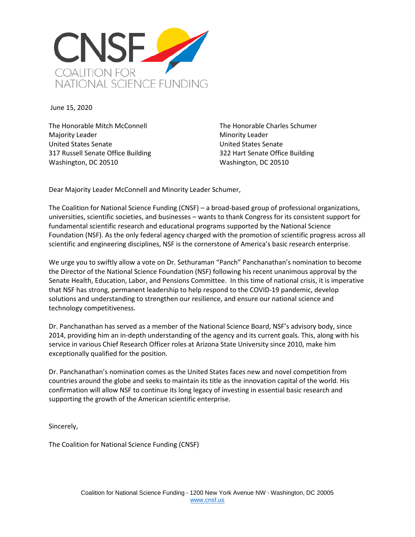

June 15, 2020

The Honorable Mitch McConnell Majority Leader United States Senate 317 Russell Senate Office Building Washington, DC 20510

The Honorable Charles Schumer Minority Leader United States Senate 322 Hart Senate Office Building Washington, DC 20510

Dear Majority Leader McConnell and Minority Leader Schumer,

The Coalition for National Science Funding (CNSF) – a broad-based group of professional organizations, universities, scientific societies, and businesses – wants to thank Congress for its consistent support for fundamental scientific research and educational programs supported by the National Science Foundation (NSF). As the only federal agency charged with the promotion of scientific progress across all scientific and engineering disciplines, NSF is the cornerstone of America's basic research enterprise.

We urge you to swiftly allow a vote on Dr. Sethuraman "Panch" Panchanathan's nomination to become the Director of the National Science Foundation (NSF) following his recent unanimous approval by the Senate Health, Education, Labor, and Pensions Committee. In this time of national crisis, it is imperative that NSF has strong, permanent leadership to help respond to the COVID-19 pandemic, develop solutions and understanding to strengthen our resilience, and ensure our national science and technology competitiveness.

Dr. Panchanathan has served as a member of the National Science Board, NSF's advisory body, since 2014, providing him an in-depth understanding of the agency and its current goals. This, along with his service in various Chief Research Officer roles at Arizona State University since 2010, make him exceptionally qualified for the position.

Dr. Panchanathan's nomination comes as the United States faces new and novel competition from countries around the globe and seeks to maintain its title as the innovation capital of the world. His confirmation will allow NSF to continue its long legacy of investing in essential basic research and supporting the growth of the American scientific enterprise.

Sincerely,

The Coalition for National Science Funding (CNSF)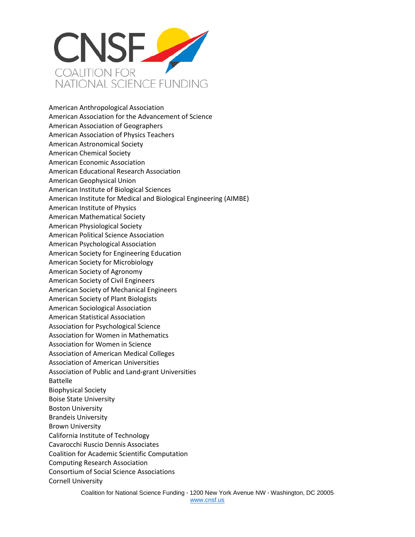

American Anthropological Association American Association for the Advancement of Science American Association of Geographers American Association of Physics Teachers American Astronomical Society American Chemical Society American Economic Association American Educational Research Association American Geophysical Union American Institute of Biological Sciences American Institute for Medical and Biological Engineering (AIMBE) American Institute of Physics American Mathematical Society American Physiological Society American Political Science Association American Psychological Association American Society for Engineering Education American Society for Microbiology American Society of Agronomy American Society of Civil Engineers American Society of Mechanical Engineers American Society of Plant Biologists American Sociological Association American Statistical Association Association for Psychological Science Association for Women in Mathematics Association for Women in Science Association of American Medical Colleges Association of American Universities Association of Public and Land-grant Universities Battelle Biophysical Society Boise State University Boston University Brandeis University Brown University California Institute of Technology Cavarocchi Ruscio Dennis Associates Coalition for Academic Scientific Computation Computing Research Association Consortium of Social Science Associations Cornell University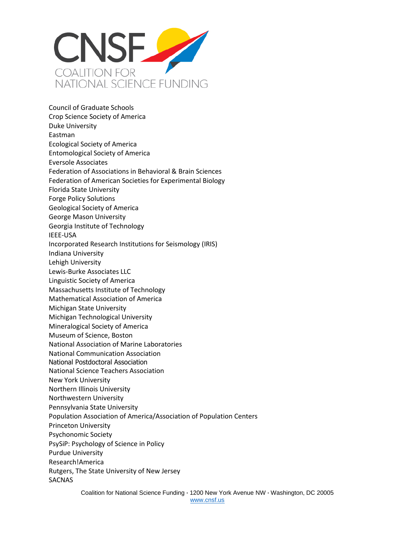

Council of Graduate Schools Crop Science Society of America Duke University Eastman Ecological Society of America Entomological Society of America Eversole Associates Federation of Associations in Behavioral & Brain Sciences Federation of American Societies for Experimental Biology Florida State University Forge Policy Solutions Geological Society of America George Mason University Georgia Institute of Technology IEEE-USA Incorporated Research Institutions for Seismology (IRIS) Indiana University Lehigh University Lewis-Burke Associates LLC Linguistic Society of America Massachusetts Institute of Technology Mathematical Association of America Michigan State University Michigan Technological University Mineralogical Society of America Museum of Science, Boston National Association of Marine Laboratories National Communication Association National Postdoctoral Association National Science Teachers Association New York University Northern Illinois University Northwestern University Pennsylvania State University Population Association of America/Association of Population Centers Princeton University Psychonomic Society PsySiP: Psychology of Science in Policy Purdue University Research!America Rutgers, The State University of New Jersey SACNAS